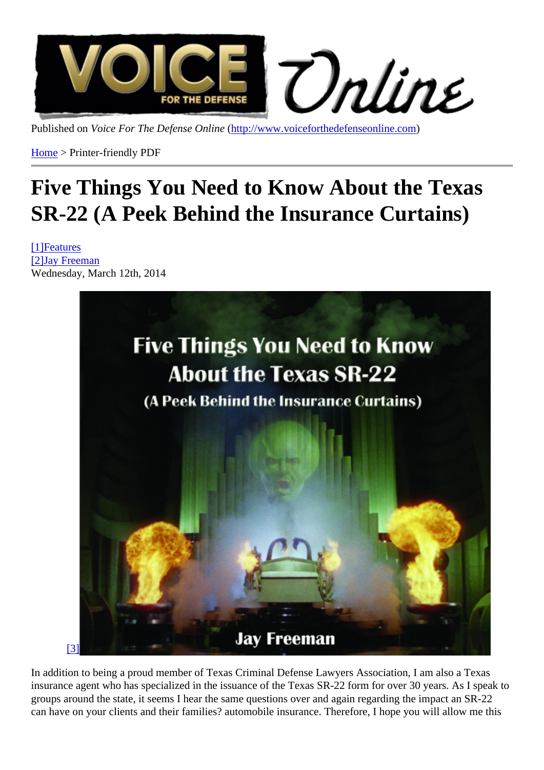Published on Voice For The Defense Onlinettp://www.voiceforthedefenseonline.com

Home> Printer-friendly PDF

# [Fiv](http://www.voiceforthedefenseonline.com/)e Things You Ne[ed to Know About th](http://www.voiceforthedefenseonline.com)e Texas SR-22 (A Peek Behind the Insurance Curtains)

[1]Features [2]Jay Freeman Wednesday, March 12th, 2014

[3]

In addi[tion to being a proud member of Texas Criminal Defense Lawyers Association, I am a](http://www.voiceforthedefenseonline.com/image/five-things-you-need-know-about-texas-sr-22)lso a Texas insurance agent who has specialized in the issuance of the Texas SR-22 form for over 30 years. As I speak to groups around the state, it seems I hear the same questions over and again regarding the impact an SR-22 can have on your clients and their families? automobile insurance. Therefore, I hope you will allow me this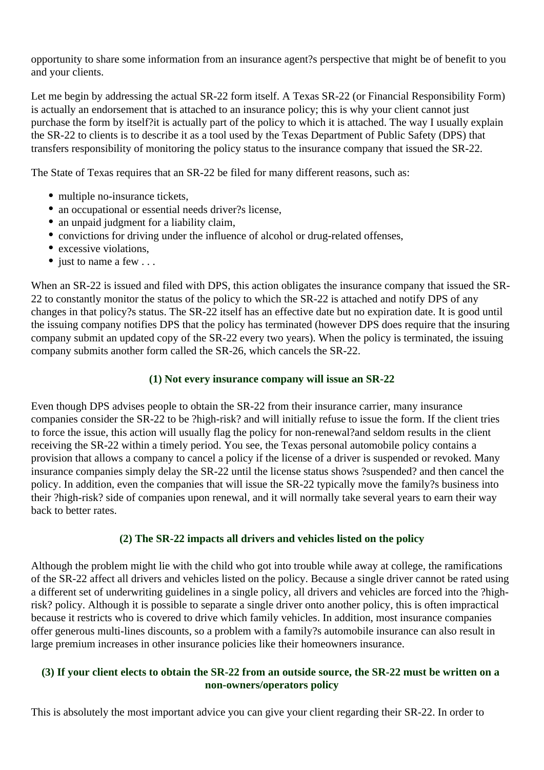opportunity to share some information from an insurance agent?s perspective that might be of benefit to you and your clients.

Let me begin by addressing the actual SR-22 form itself. A Texas SR-22 (or Financial Responsibility Form) is actually an endorsement that is attached to an insurance policy; this is why your client cannot just purchase the form by itself?it is actually part of the policy to which it is attached. The way I usually explain the SR-22 to clients is to describe it as a tool used by the Texas Department of Public Safety (DPS) that transfers responsibility of monitoring the policy status to the insurance company that issued the SR-22.

The State of Texas requires that an SR-22 be filed for many different reasons, such as:

- multiple no-insurance tickets,
- an occupational or essential needs driver?s license,
- an unpaid judgment for a liability claim,
- convictions for driving under the influence of alcohol or drug-related offenses,
- excessive violations.
- $\bullet$  just to name a few ...

When an SR-22 is issued and filed with DPS, this action obligates the insurance company that issued the SR-22 to constantly monitor the status of the policy to which the SR-22 is attached and notify DPS of any changes in that policy?s status. The SR-22 itself has an effective date but no expiration date. It is good until the issuing company notifies DPS that the policy has terminated (however DPS does require that the insuring company submit an updated copy of the SR-22 every two years). When the policy is terminated, the issuing company submits another form called the SR-26, which cancels the SR-22.

# **(1) Not every insurance company will issue an SR-22**

Even though DPS advises people to obtain the SR-22 from their insurance carrier, many insurance companies consider the SR-22 to be ?high-risk? and will initially refuse to issue the form. If the client tries to force the issue, this action will usually flag the policy for non-renewal?and seldom results in the client receiving the SR-22 within a timely period. You see, the Texas personal automobile policy contains a provision that allows a company to cancel a policy if the license of a driver is suspended or revoked. Many insurance companies simply delay the SR-22 until the license status shows ?suspended? and then cancel the policy. In addition, even the companies that will issue the SR-22 typically move the family?s business into their ?high-risk? side of companies upon renewal, and it will normally take several years to earn their way back to better rates.

## **(2) The SR-22 impacts all drivers and vehicles listed on the policy**

Although the problem might lie with the child who got into trouble while away at college, the ramifications of the SR-22 affect all drivers and vehicles listed on the policy. Because a single driver cannot be rated using a different set of underwriting guidelines in a single policy, all drivers and vehicles are forced into the ?highrisk? policy. Although it is possible to separate a single driver onto another policy, this is often impractical because it restricts who is covered to drive which family vehicles. In addition, most insurance companies offer generous multi-lines discounts, so a problem with a family?s automobile insurance can also result in large premium increases in other insurance policies like their homeowners insurance.

# **(3) If your client elects to obtain the SR-22 from an outside source, the SR-22 must be written on a non-owners/operators policy**

This is absolutely the most important advice you can give your client regarding their SR-22. In order to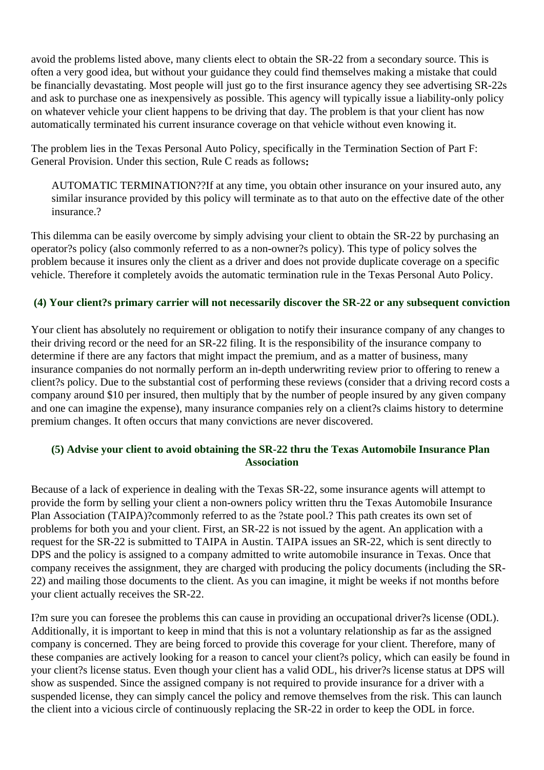avoid the problems listed above, many clients elect to obtain the SR-22 from a secondary source. This is often a very good idea, but without your guidance they could find themselves making a mistake that could be financially devastating. Most people will just go to the first insurance agency they see advertising SR-22s and ask to purchase one as inexpensively as possible. This agency will typically issue a liability-only policy on whatever vehicle your client happens to be driving that day. The problem is that your client has now automatically terminated his current insurance coverage on that vehicle without even knowing it.

The problem lies in the Texas Personal Auto Policy, specifically in the Termination Section of Part F: General Provision. Under this section, Rule C reads as follows**:**

AUTOMATIC TERMINATION??If at any time, you obtain other insurance on your insured auto, any similar insurance provided by this policy will terminate as to that auto on the effective date of the other insurance.?

This dilemma can be easily overcome by simply advising your client to obtain the SR-22 by purchasing an operator?s policy (also commonly referred to as a non-owner?s policy). This type of policy solves the problem because it insures only the client as a driver and does not provide duplicate coverage on a specific vehicle. Therefore it completely avoids the automatic termination rule in the Texas Personal Auto Policy.

## **(4) Your client?s primary carrier will not necessarily discover the SR-22 or any subsequent conviction**

Your client has absolutely no requirement or obligation to notify their insurance company of any changes to their driving record or the need for an SR-22 filing. It is the responsibility of the insurance company to determine if there are any factors that might impact the premium, and as a matter of business, many insurance companies do not normally perform an in-depth underwriting review prior to offering to renew a client?s policy. Due to the substantial cost of performing these reviews (consider that a driving record costs a company around \$10 per insured, then multiply that by the number of people insured by any given company and one can imagine the expense), many insurance companies rely on a client?s claims history to determine premium changes. It often occurs that many convictions are never discovered.

## **(5) Advise your client to avoid obtaining the SR-22 thru the Texas Automobile Insurance Plan Association**

Because of a lack of experience in dealing with the Texas SR-22, some insurance agents will attempt to provide the form by selling your client a non-owners policy written thru the Texas Automobile Insurance Plan Association (TAIPA)?commonly referred to as the ?state pool.? This path creates its own set of problems for both you and your client. First, an SR-22 is not issued by the agent. An application with a request for the SR-22 is submitted to TAIPA in Austin. TAIPA issues an SR-22, which is sent directly to DPS and the policy is assigned to a company admitted to write automobile insurance in Texas. Once that company receives the assignment, they are charged with producing the policy documents (including the SR-22) and mailing those documents to the client. As you can imagine, it might be weeks if not months before your client actually receives the SR-22.

I?m sure you can foresee the problems this can cause in providing an occupational driver?s license (ODL). Additionally, it is important to keep in mind that this is not a voluntary relationship as far as the assigned company is concerned. They are being forced to provide this coverage for your client. Therefore, many of these companies are actively looking for a reason to cancel your client?s policy, which can easily be found in your client?s license status. Even though your client has a valid ODL, his driver?s license status at DPS will show as suspended. Since the assigned company is not required to provide insurance for a driver with a suspended license, they can simply cancel the policy and remove themselves from the risk. This can launch the client into a vicious circle of continuously replacing the SR-22 in order to keep the ODL in force.